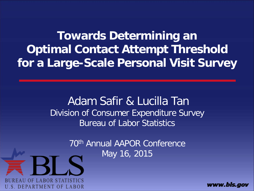**Towards Determining an Optimal Contact Attempt Threshold for a Large-Scale Personal Visit Survey**

> Adam Safir & Lucilla Tan Division of Consumer Expenditure Survey Bureau of Labor Statistics

> > 70th Annual AAPOR Conference May 16, 2015



www.bls.gov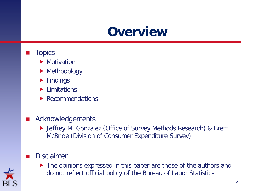### **Overview**

- **Topics** 
	- **Motivation**
	- **Methodology**
	- $\blacktriangleright$  Findings
	- **Limitations**
	- ▶ Recommendations
- **Acknowledgements** 
	- Jeffrey M. Gonzalez (Office of Survey Methods Research) & Brett McBride (Division of Consumer Expenditure Survey).

### Disclaimer



▶ The opinions expressed in this paper are those of the authors and do not reflect official policy of the Bureau of Labor Statistics.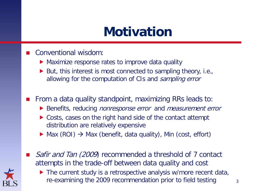## **Motivation**

### Conventional wisdom:

- Maximize response rates to improve data quality
- $\blacktriangleright$  But, this interest is most connected to sampling theory, i.e., allowing for the computation of CIs and sampling error

From a data quality standpoint, maximizing RRs leads to:

- Benefits, reducing *nonresponse error* and *measurement error*
- ▶ Costs, cases on the right hand side of the contact attempt distribution are relatively expensive
- $\triangleright$  Max (ROI)  $\rightarrow$  Max (benefit, data quality), Min (cost, effort)
- Safir and Tan (2009) recommended a threshold of 7 contact attempts in the trade-off between data quality and cost



▶ The current study is a retrospective analysis w/more recent data, re-examining the 2009 recommendation prior to field testing  $\frac{3}{3}$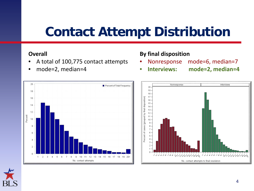## **Contact Attempt Distribution**

#### **Overall**

- A total of 100,775 contact attempts
- mode=2, median=4



- Nonresponse mode=6, median=7
- **Interviews: mode=2, median=4**





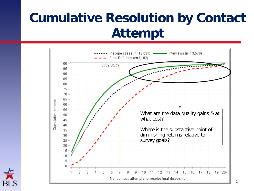## **Cumulative Resolution by Contact Attempt**



5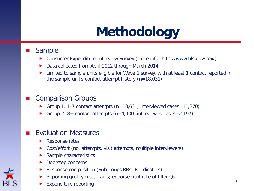# **Methodology**

### Sample

- Consumer Expenditure Interview Survey (more info: [http://www.bls.gov/cex/\)](http://www.bls.gov/cex/)
- Data collected from April 2012 through March 2014
- Limited to sample units eligible for Wave 1 survey, with at least 1 contact reported in the sample unit's contact attempt history (n=18,031)

### Comparison Groups

- Group 1: 1-7 contact attempts  $(n=13,631)$ ; interviewed cases=11,370)
- Group 2: 8+ contact attempts (n=4,400; interviewed cases=2,197)

### Evaluation Measures

- Response rates
- Cost/effort (no. attempts, visit attempts, multiple interviewers)
- Sample characteristics
- Doorstep concerns
- Response composition (Subgroups RRs; R-indicators)
- Reporting quality (recall aids; endorsement rate of filter Qs)
- Expenditure reporting 6 and 10 km s and 10 km s and 10 km s and 10 km s and 10 km s and 10 km s and 10 km s and 10 km s and 10 km s and 10 km s and 10 km s and 10 km s and 10 km s and 10 km s and 10 km s and 10 km s and 10

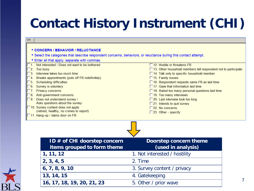### r Ing **Contact History Instrument (CHI)**

| <b>CHI</b><br>* CONCERN / BEHAVIOR / RELUCTANCE                                                                  |                                                                                              |  |
|------------------------------------------------------------------------------------------------------------------|----------------------------------------------------------------------------------------------|--|
| * Select the categories that describe respondent concerns, behaviors, or reluctance during this contact attempt. |                                                                                              |  |
| * Enter all that apply, separate with commas.                                                                    |                                                                                              |  |
| 1. Not interested / Does not want to be bothered                                                                 | $\Box$ 12 Hostile or threatens FR                                                            |  |
| 2. Too busy                                                                                                      | $\Box$ 13. Other household members tell respondent not to participate                        |  |
| Interview takes too much time<br>$\overline{3}$                                                                  | 14. Talk only to specific household member                                                   |  |
| Breaks appointments (puts off FR indefinitely)<br>4 <sup>1</sup>                                                 | □ 15. Family issues                                                                          |  |
| <b>Scheduling difficulties</b><br>5.<br>Survey is voluntary<br>6.                                                | □ 16. Respondent requests same FR as last time<br>$\Box$ 17. Gave that information last time |  |
| Privacy concerns                                                                                                 | □ 18. Asked too many personal questions last time                                            |  |
| Anti-government concerns<br>8.                                                                                   | $\Box$ 19. Too many interviews                                                               |  |
| 9. Does not understand survey /                                                                                  | □ 20. Last interview took too long                                                           |  |
| Asks questions about the survey                                                                                  | □21. Intends to quit survey                                                                  |  |
| 10. Survey content does not apply                                                                                | $\square$ 22. No concerns                                                                    |  |
| (retired, healthy, no crimes to report)<br>□ 11. Hang-up / slams door on FR                                      | $\square$ 23. Other - specify                                                                |  |
| ID # of CHI doorstep concern                                                                                     | Doorstep concern theme                                                                       |  |
|                                                                                                                  |                                                                                              |  |
|                                                                                                                  |                                                                                              |  |
| items grouped to form theme                                                                                      | (used in analysis)                                                                           |  |
| 1, 11, 12                                                                                                        | 1. Not interested / hostility                                                                |  |
| 2, 3, 4, 5                                                                                                       | 2. Time                                                                                      |  |
| 6, 7, 8, 9, 10                                                                                                   | 3. Survey content / privacy                                                                  |  |
| 13, 14, 15                                                                                                       | 4. Gatekeeping                                                                               |  |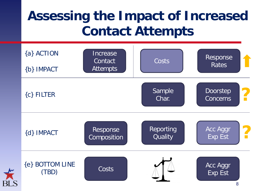## **Assessing the Impact of Increased Contact Attempts**

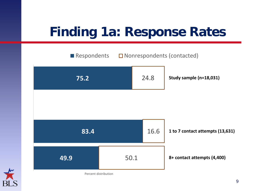## **Finding 1a: Response Rates**



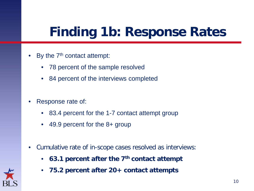## **Finding 1b: Response Rates**

- By the  $7<sup>th</sup>$  contact attempt:
	- 78 percent of the sample resolved
	- 84 percent of the interviews completed
- Response rate of:
	- 83.4 percent for the 1-7 contact attempt group
	- 49.9 percent for the 8+ group
- Cumulative rate of in-scope cases resolved as interviews:
	- **63.1 percent after the 7th contact attempt**
	- **75.2 percent after 20+ contact attempts**

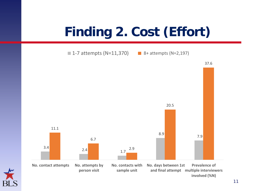# **Finding 2. Cost (Effort)**



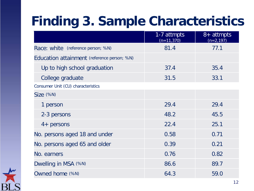## **Finding 3. Sample Characteristics**

|                                             | 1-7 attmpts<br>$(n=11,370)$ | 8+ attmpts<br>$(n=2, 197)$ |
|---------------------------------------------|-----------------------------|----------------------------|
| Race: white (reference person; %N)          | 81.4                        | 77.1                       |
| Education attainment (reference person; %N) |                             |                            |
| Up to high school graduation                | 37.4                        | 35.4                       |
| College graduate                            | 31.5                        | 33.1                       |
| Consumer Unit (CU) characteristics          |                             |                            |
| Size (%N)                                   |                             |                            |
| 1 person                                    | 29.4                        | 29.4                       |
| 2-3 persons                                 | 48.2                        | 45.5                       |
| $4+$ persons                                | 22.4                        | 25.1                       |
| No. persons aged 18 and under               | 0.58                        | 0.71                       |
| No. persons aged 65 and older               | 0.39                        | 0.21                       |
| No. earners                                 | 0.76                        | 0.82                       |
| Dwelling in MSA (%N)                        | 86.6                        | 89.7                       |
| Owned home (%N)                             | 64.3                        | 59.0                       |

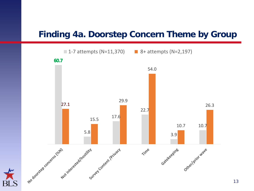### **Finding 4a. Doorstep Concern Theme by Group**

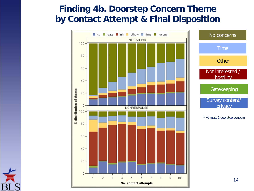### **by Contact Attempt & Final Disposition Finding 4b. Doorstep Concern Theme**



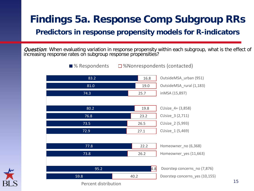### **Findings 5a. Response Comp Subgroup RRs**

### **Predictors in response propensity models for R-indicators**

**Question:** When evaluating variation in response propensity within each subgroup, what is the effect of increasing response rates on subgroup response propensities?



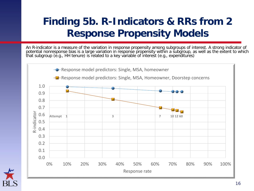### **Finding 5b. R-Indicators & RRs from 2 Response Propensity Models**

An R-indicator is a measure of the variation in response propensity among subgroups of interest. A strong indicator of potential nonresponse bias is a large variation in response propensity within a subgroup, as well as the extent to which that subgroup (e.g., HH tenure) is related to a key variable of interest (e.g., expenditures)



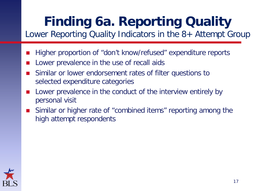## **Finding 6a. Reporting Quality**

Lower Reporting Quality Indicators in the 8+ Attempt Group

- Higher proportion of "don't know/refused" expenditure reports
- Lower prevalence in the use of recall aids
- Similar or lower endorsement rates of filter questions to selected expenditure categories
- Lower prevalence in the conduct of the interview entirely by personal visit
- Similar or higher rate of "combined items" reporting among the high attempt respondents

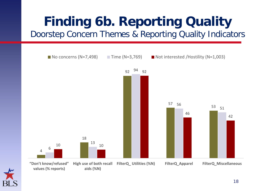# **Finding 6b. Reporting Quality**

Doorstep Concern Themes & Reporting Quality Indicators



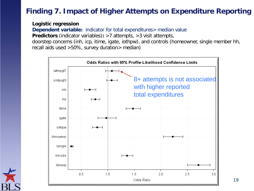### **Finding 7. Impact of Higher Attempts on Expenditure Reporting**

**Logistic regression**

**Dependent variable:** indicator for total expenditures > median value

**Predictors** (indicator variables)**:** >7 attempts, >3 visit attempts,

doorstep concerns (inh, icp, itime, igate, iothpw), and controls (homeowner, single member hh, recall aids used >50%, survey duration> median)

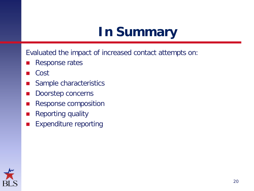## **In Summary**

Evaluated the impact of increased contact attempts on:

- Response rates
- Cost
- Sample characteristics
- Doorstep concerns
- Response composition
- Reporting quality
- **Expenditure reporting**

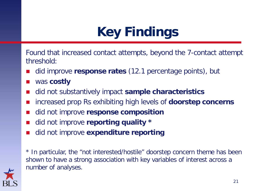# **Key Findings**

Found that increased contact attempts, beyond the 7-contact attempt threshold:

- did improve **response rates** (12.1 percentage points), but
- was **costly**
- did not substantively impact **sample characteristics**
- increased prop Rs exhibiting high levels of **doorstep concerns**
- did not improve **response composition**
- did not improve **reporting quality \***
- did not improve **expenditure reporting**

\* In particular, the "not interested/hostile" doorstep concern theme has been shown to have a strong association with key variables of interest across a number of analyses.

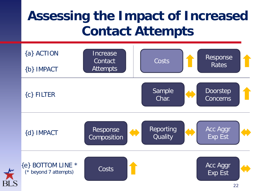## **Assessing the Impact of Increased Contact Attempts**

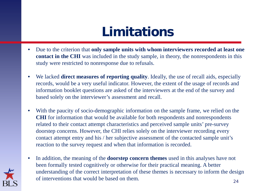## **Limitations**

- Due to the criterion that **only sample units with whom interviewers recorded at least one contact in the CHI** was included in the study sample, in theory, the nonrespondents in this study were restricted to nonresponse due to refusals.
- We lacked **direct measures of reporting quality**. Ideally, the use of recall aids, especially records, would be a very useful indicator. However, the extent of the usage of records and information booklet questions are asked of the interviewers at the end of the survey and based solely on the interviewer's assessment and recall.
- With the paucity of socio-demographic information on the sample frame, we relied on the **CHI** for information that would be available for both respondents and nonrespondents related to their contact attempt characteristics and perceived sample units' pre-survey doorstep concerns. However, the CHI relies solely on the interviewer recording every contact attempt entry and his / her subjective assessment of the contacted sample unit's reaction to the survey request and when that information is recorded.
- In addition, the meaning of the **doorstep concern themes** used in this analyses have not been formally tested cognitively or otherwise for their practical meaning. A better understanding of the correct interpretation of these themes is necessary to inform the design of interventions that would be based on them.

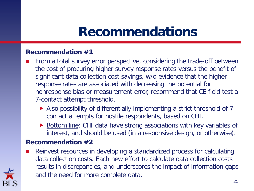### **Recommendations**

### **Recommendation #1**

- From a total survey error perspective, considering the trade-off between the cost of procuring higher survey response rates versus the benefit of significant data collection cost savings, w/o evidence that the higher response rates are associated with decreasing the potential for nonresponse bias or measurement error, recommend that CE field test a 7-contact attempt threshold.
	- ▶ Also possibility of differentially implementing a strict threshold of 7 contact attempts for hostile respondents, based on CHI.
	- ▶ Bottom line: CHI data have strong associations with key variables of interest, and should be used (in a responsive design, or otherwise).

#### **Recommendation #2**

 Reinvest resources in developing a standardized process for calculating data collection costs. Each new effort to calculate data collection costs results in discrepancies, and underscores the impact of information gaps and the need for more complete data.